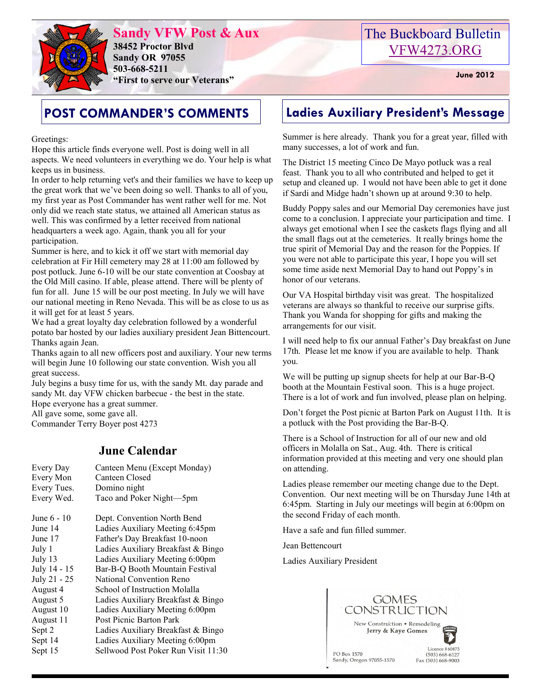

**Sandy VFW Post & Aux 38452 Proctor Blvd Sandy OR 97055 503-668-5211 "First to serve our Veterans" June 2012** 

## The Buckboard Bulletin [VFW4273.ORG](http://vfw4273.org/)

Greetings:

Hope this article finds everyone well. Post is doing well in all aspects. We need volunteers in everything we do. Your help is what keeps us in business.

In order to help returning vet's and their families we have to keep up the great work that we've been doing so well. Thanks to all of you, my first year as Post Commander has went rather well for me. Not only did we reach state status, we attained all American status as well. This was confirmed by a letter received from national headquarters a week ago. Again, thank you all for your participation.

Summer is here, and to kick it off we start with memorial day celebration at Fir Hill cemetery may 28 at 11:00 am followed by post potluck. June 6-10 will be our state convention at Coosbay at the Old Mill casino. If able, please attend. There will be plenty of fun for all. June 15 will be our post meeting. In July we will have our national meeting in Reno Nevada. This will be as close to us as it will get for at least 5 years.

We had a great loyalty day celebration followed by a wonderful potato bar hosted by our ladies auxiliary president Jean Bittencourt. Thanks again Jean.

Thanks again to all new officers post and auxiliary. Your new terms will begin June 10 following our state convention. Wish you all great success.

July begins a busy time for us, with the sandy Mt. day parade and sandy Mt. day VFW chicken barbecue - the best in the state. Hope everyone has a great summer.

All gave some, some gave all.

Commander Terry Boyer post 4273

#### **June Calendar**

| Every Day<br>Every Mon<br>Every Tues.<br>Every Wed. | Canteen Menu (Except Monday)<br>Canteen Closed<br>Domino night<br>Taco and Poker Night-5pm |
|-----------------------------------------------------|--------------------------------------------------------------------------------------------|
| June 6 - 10                                         | Dept. Convention North Bend                                                                |
| June 14                                             | Ladies Auxiliary Meeting 6:45pm                                                            |
| June 17                                             | Father's Day Breakfast 10-noon                                                             |
| July 1                                              | Ladies Auxiliary Breakfast & Bingo                                                         |
| July 13                                             | Ladies Auxiliary Meeting 6:00pm                                                            |
| July 14 - 15                                        | Bar-B-Q Booth Mountain Festival                                                            |
| July 21 - 25                                        | National Convention Reno                                                                   |
| August 4                                            | School of Instruction Molalla                                                              |
| August 5                                            | Ladies Auxiliary Breakfast & Bingo                                                         |
| August 10                                           | Ladies Auxiliary Meeting 6:00pm                                                            |
| August 11                                           | Post Picnic Barton Park                                                                    |
| Sept 2                                              | Ladies Auxiliary Breakfast & Bingo                                                         |
| Sept 14                                             | Ladies Auxiliary Meeting 6:00pm                                                            |
| Sept 15                                             | Sellwood Post Poker Run Visit 11:30                                                        |
|                                                     |                                                                                            |

### **POST COMMANDER'S COMMENTS Ladies Auxiliary President's Message**

Summer is here already. Thank you for a great year, filled with many successes, a lot of work and fun.

The District 15 meeting Cinco De Mayo potluck was a real feast. Thank you to all who contributed and helped to get it setup and cleaned up. I would not have been able to get it done if Sardi and Midge hadn't shown up at around 9:30 to help.

Buddy Poppy sales and our Memorial Day ceremonies have just come to a conclusion. I appreciate your participation and time. I always get emotional when I see the caskets flags flying and all the small flags out at the cemeteries. It really brings home the true spirit of Memorial Day and the reason for the Poppies. If you were not able to participate this year, I hope you will set some time aside next Memorial Day to hand out Poppy's in honor of our veterans.

Our VA Hospital birthday visit was great. The hospitalized veterans are always so thankful to receive our surprise gifts. Thank you Wanda for shopping for gifts and making the arrangements for our visit.

I will need help to fix our annual Father's Day breakfast on June 17th. Please let me know if you are available to help. Thank you.

We will be putting up signup sheets for help at our Bar-B-Q booth at the Mountain Festival soon. This is a huge project. There is a lot of work and fun involved, please plan on helping.

Don't forget the Post picnic at Barton Park on August 11th. It is a potluck with the Post providing the Bar-B-Q.

There is a School of Instruction for all of our new and old officers in Molalla on Sat., Aug. 4th. There is critical information provided at this meeting and very one should plan on attending.

Ladies please remember our meeting change due to the Dept. Convention. Our next meeting will be on Thursday June 14th at 6:45pm. Starting in July our meetings will begin at 6:00pm on the second Friday of each month.

Have a safe and fun filled summer.

Jean Bettencourt

Ladies Auxiliary President

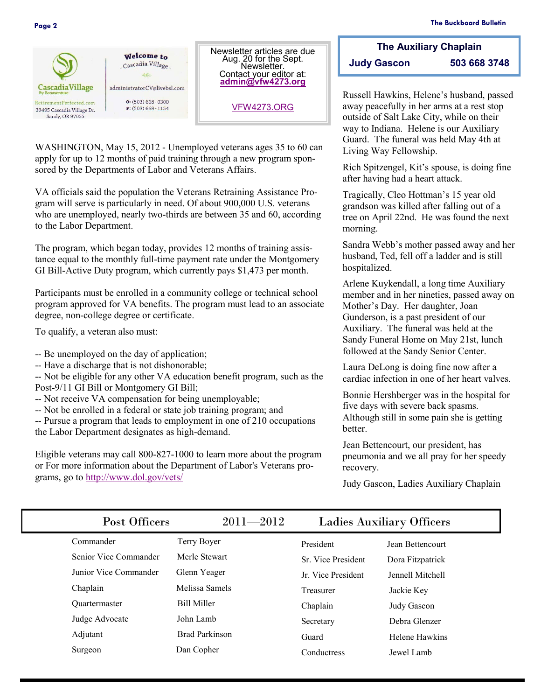

WASHINGTON, May 15, 2012 - Unemployed veterans ages 35 to 60 can apply for up to 12 months of paid training through a new program sponsored by the Departments of Labor and Veterans Affairs.

Aug. 20 for the Sept. **Newsletter** Contact your editor at: **[admin@vfw4273.org](mailto:admin@vfw4273.org)**

[VFW4273.ORG](http://vfw4273.org/)

VA officials said the population the Veterans Retraining Assistance Program will serve is particularly in need. Of about 900,000 U.S. veterans who are unemployed, nearly two-thirds are between 35 and 60, according to the Labor Department.

The program, which began today, provides 12 months of training assistance equal to the monthly full-time payment rate under the Montgomery GI Bill-Active Duty program, which currently pays \$1,473 per month.

Participants must be enrolled in a community college or technical school program approved for VA benefits. The program must lead to an associate degree, non-college degree or certificate.

To qualify, a veteran also must:

- -- Be unemployed on the day of application;
- -- Have a discharge that is not dishonorable;

-- Not be eligible for any other VA education benefit program, such as the Post-9/11 GI Bill or Montgomery GI Bill;

-- Not receive VA compensation for being unemployable;

-- Not be enrolled in a federal or state job training program; and

-- Pursue a program that leads to employment in one of 210 occupations the Labor Department designates as high-demand.

Eligible veterans may call 800-827-1000 to learn more about the program or For more information about the Department of Labor's Veterans programs, go to<http://www.dol.gov/vets/>

**The Auxiliary Chaplain Judy Gascon 503 668 3748**

Russell Hawkins, Helene's husband, passed away peacefully in her arms at a rest stop outside of Salt Lake City, while on their way to Indiana. Helene is our Auxiliary Guard. The funeral was held May 4th at Living Way Fellowship.

Rich Spitzengel, Kit's spouse, is doing fine after having had a heart attack.

Tragically, Cleo Hottman's 15 year old grandson was killed after falling out of a tree on April 22nd. He was found the next morning.

Sandra Webb's mother passed away and her husband, Ted, fell off a ladder and is still hospitalized.

Arlene Kuykendall, a long time Auxiliary member and in her nineties, passed away on Mother's Day. Her daughter, Joan Gunderson, is a past president of our Auxiliary. The funeral was held at the Sandy Funeral Home on May 21st, lunch followed at the Sandy Senior Center.

Laura DeLong is doing fine now after a cardiac infection in one of her heart valves.

Bonnie Hershberger was in the hospital for five days with severe back spasms. Although still in some pain she is getting better.

Jean Bettencourt, our president, has pneumonia and we all pray for her speedy recovery.

Judy Gascon, Ladies Auxiliary Chaplain

| Post Officers         | $2011 - 2012$         | <b>Ladies Auxiliary Officers</b> |                  |
|-----------------------|-----------------------|----------------------------------|------------------|
| Commander             | Terry Boyer           | President                        | Jean Bettencourt |
| Senior Vice Commander | Merle Stewart         | Sr. Vice President               | Dora Fitzpatrick |
| Junior Vice Commander | Glenn Yeager          | Jr. Vice President               | Jennell Mitchell |
| Chaplain              | Melissa Samels        | Treasurer                        | Jackie Key       |
| <b>Ouartermaster</b>  | <b>Bill Miller</b>    | Chaplain                         | Judy Gascon      |
| Judge Advocate        | John Lamb             | Secretary                        | Debra Glenzer    |
| Adjutant              | <b>Brad Parkinson</b> | Guard                            | Helene Hawkins   |
| Surgeon               | Dan Copher            | Conductress                      | Jewel Lamb       |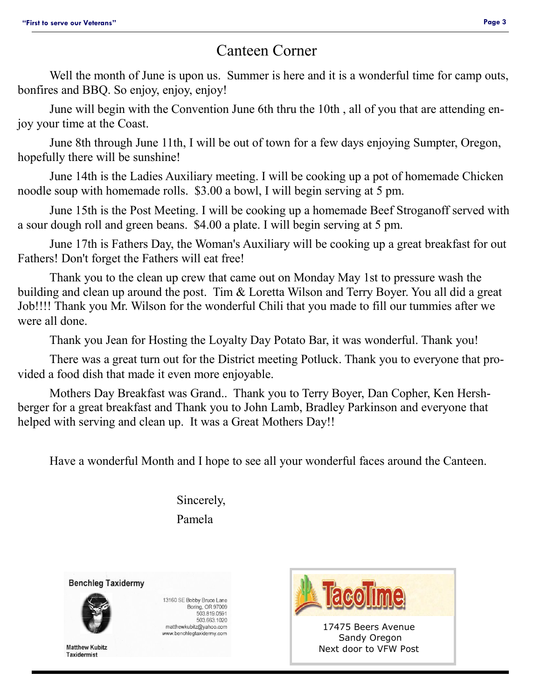#### Canteen Corner

Well the month of June is upon us. Summer is here and it is a wonderful time for camp outs, bonfires and BBQ. So enjoy, enjoy, enjoy!

June will begin with the Convention June 6th thru the 10th , all of you that are attending enjoy your time at the Coast.

June 8th through June 11th, I will be out of town for a few days enjoying Sumpter, Oregon, hopefully there will be sunshine!

June 14th is the Ladies Auxiliary meeting. I will be cooking up a pot of homemade Chicken noodle soup with homemade rolls. \$3.00 a bowl, I will begin serving at 5 pm.

June 15th is the Post Meeting. I will be cooking up a homemade Beef Stroganoff served with a sour dough roll and green beans. \$4.00 a plate. I will begin serving at 5 pm.

June 17th is Fathers Day, the Woman's Auxiliary will be cooking up a great breakfast for out Fathers! Don't forget the Fathers will eat free!

Thank you to the clean up crew that came out on Monday May 1st to pressure wash the building and clean up around the post. Tim & Loretta Wilson and Terry Boyer. You all did a great Job!!!! Thank you Mr. Wilson for the wonderful Chili that you made to fill our tummies after we were all done.

Thank you Jean for Hosting the Loyalty Day Potato Bar, it was wonderful. Thank you!

There was a great turn out for the District meeting Potluck. Thank you to everyone that provided a food dish that made it even more enjoyable.

Mothers Day Breakfast was Grand.. Thank you to Terry Boyer, Dan Copher, Ken Hershberger for a great breakfast and Thank you to John Lamb, Bradley Parkinson and everyone that helped with serving and clean up. It was a Great Mothers Day!!

Have a wonderful Month and I hope to see all your wonderful faces around the Canteen.

Sincerely,

Pamela

**Benchleg Taxidermy** 



13160 SE Bobby Bruce Lane Boring, OR 97009 503.819.0591 503.663.1020 matthewkubitz@yahoo.com www.benchlegtaxidermy.com



Next door to VFW Post

**Matthew Kubitz Taxidermist**